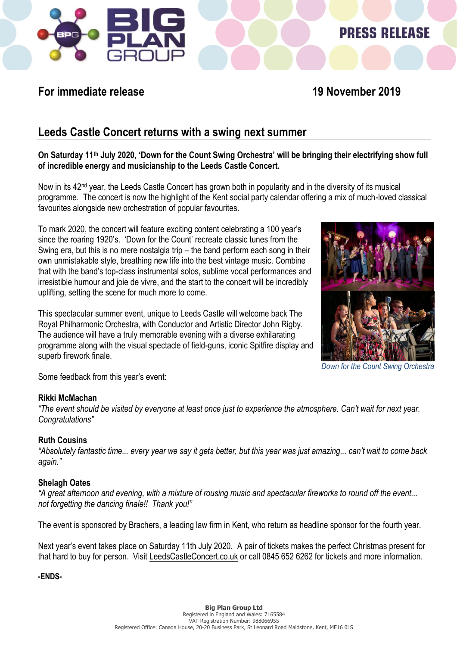

# **PRESS RELEASE**

### **For immediate release 19 November 2019**

### **Leeds Castle Concert returns with a swing next summer**

### **On Saturday 11th July 2020, 'Down for the Count Swing Orchestra' will be bringing their electrifying show full of incredible energy and musicianship to the Leeds Castle Concert.**

Now in its 42<sup>nd</sup> year, the Leeds Castle Concert has grown both in popularity and in the diversity of its musical programme. The concert is now the highlight of the Kent social party calendar offering a mix of much-loved classical favourites alongside new orchestration of popular favourites.

To mark 2020, the concert will feature exciting content celebrating a 100 year's since the roaring 1920's. 'Down for the Count' recreate classic tunes from the Swing era, but this is no mere nostalgia trip – the band perform each song in their own unmistakable style, breathing new life into the best vintage music. Combine that with the band's top-class instrumental solos, sublime vocal performances and irresistible humour and joie de vivre, and the start to the concert will be incredibly uplifting, setting the scene for much more to come.

This spectacular summer event, unique to Leeds Castle will welcome back The Royal Philharmonic Orchestra, with Conductor and Artistic Director John Rigby. The audience will have a truly memorable evening with a diverse exhilarating programme along with the visual spectacle of field-guns, iconic Spitfire display and superb firework finale.



*Down for the Count Swing Orchestra*

Some feedback from this year's event:

### **Rikki McMachan**

*"The event should be visited by everyone at least once just to experience the atmosphere. Can't wait for next year. Congratulations"*

### **Ruth Cousins**

*"Absolutely fantastic time... every year we say it gets better, but this year was just amazing... can't wait to come back again."*

### **Shelagh Oates**

*"A great afternoon and evening, with a mixture of rousing music and spectacular fireworks to round off the event... not forgetting the dancing finale!! Thank you!"*

The event is sponsored by Brachers, a leading law firm in Kent, who return as headline sponsor for the fourth year.

Next year's event takes place on Saturday 11th July 2020. A pair of tickets makes the perfect Christmas present for that hard to buy for person. Visit [LeedsCastleConcert.co.uk](http://www.leedscastleconcert.co.uk/) or call 0845 652 6262 for tickets and more information.

**-ENDS-**